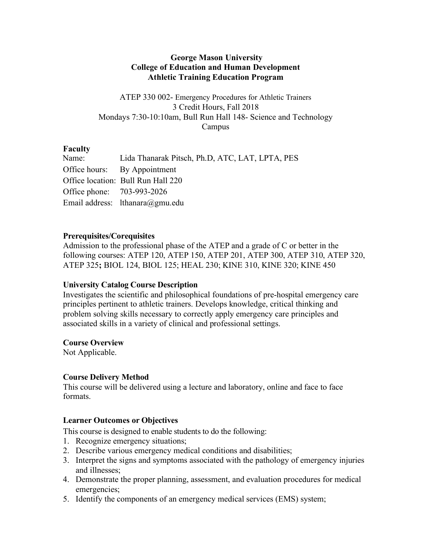## **George Mason University College of Education and Human Development Athletic Training Education Program**

ATEP 330 002- Emergency Procedures for Athletic Trainers 3 Credit Hours, Fall 2018 Mondays 7:30-10:10am, Bull Run Hall 148- Science and Technology Campus

# **Faculty**

| Lida Thanarak Pitsch, Ph.D. ATC, LAT, LPTA, PES |
|-------------------------------------------------|
| Office hours: By Appointment                    |
| Office location: Bull Run Hall 220              |
| Office phone: 703-993-2026                      |
| Email address: lthanara@gmu.edu                 |
|                                                 |

## **Prerequisites/Corequisites**

Admission to the professional phase of the ATEP and a grade of C or better in the following courses: ATEP 120, ATEP 150, ATEP 201, ATEP 300, ATEP 310, ATEP 320, ATEP 325**;** BIOL 124, BIOL 125; HEAL 230; KINE 310, KINE 320; KINE 450

# **University Catalog Course Description**

Investigates the scientific and philosophical foundations of pre-hospital emergency care principles pertinent to athletic trainers. Develops knowledge, critical thinking and problem solving skills necessary to correctly apply emergency care principles and associated skills in a variety of clinical and professional settings.

### **Course Overview**

Not Applicable.

# **Course Delivery Method**

This course will be delivered using a lecture and laboratory, online and face to face formats.

# **Learner Outcomes or Objectives**

This course is designed to enable students to do the following:

- 1. Recognize emergency situations;
- 2. Describe various emergency medical conditions and disabilities;
- 3. Interpret the signs and symptoms associated with the pathology of emergency injuries and illnesses;
- 4. Demonstrate the proper planning, assessment, and evaluation procedures for medical emergencies;
- 5. Identify the components of an emergency medical services (EMS) system;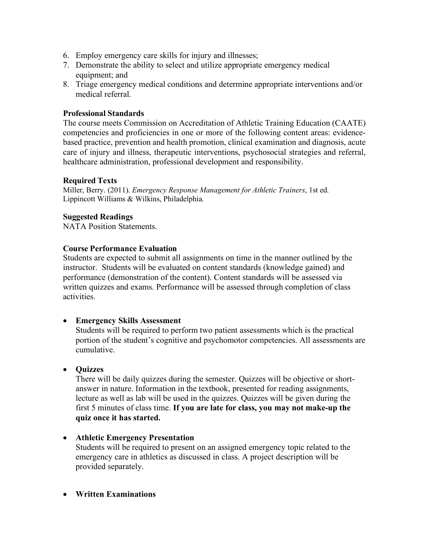- 6. Employ emergency care skills for injury and illnesses;
- 7. Demonstrate the ability to select and utilize appropriate emergency medical equipment; and
- 8. Triage emergency medical conditions and determine appropriate interventions and/or medical referral.

## **Professional Standards**

The course meets Commission on Accreditation of Athletic Training Education (CAATE) competencies and proficiencies in one or more of the following content areas: evidencebased practice, prevention and health promotion, clinical examination and diagnosis, acute care of injury and illness, therapeutic interventions, psychosocial strategies and referral, healthcare administration, professional development and responsibility.

### **Required Texts**

Miller, Berry. (2011). *Emergency Response Management for Athletic Trainers*, 1st ed. Lippincott Williams & Wilkins, Philadelphia.

## **Suggested Readings**

NATA Position Statements.

## **Course Performance Evaluation**

Students are expected to submit all assignments on time in the manner outlined by the instructor. Students will be evaluated on content standards (knowledge gained) and performance (demonstration of the content). Content standards will be assessed via written quizzes and exams. Performance will be assessed through completion of class activities.

# • **Emergency Skills Assessment**

Students will be required to perform two patient assessments which is the practical portion of the student's cognitive and psychomotor competencies. All assessments are cumulative.

# • **Quizzes**

There will be daily quizzes during the semester. Quizzes will be objective or shortanswer in nature. Information in the textbook, presented for reading assignments, lecture as well as lab will be used in the quizzes. Quizzes will be given during the first 5 minutes of class time. **If you are late for class, you may not make-up the quiz once it has started.**

### • **Athletic Emergency Presentation**

Students will be required to present on an assigned emergency topic related to the emergency care in athletics as discussed in class. A project description will be provided separately.

• **Written Examinations**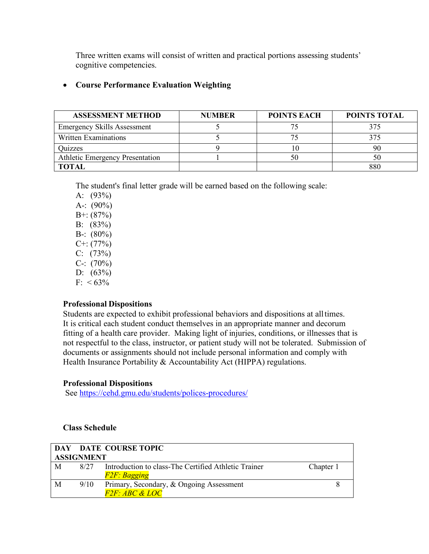Three written exams will consist of written and practical portions assessing students' cognitive competencies.

# • **Course Performance Evaluation Weighting**

| <b>ASSESSMENT METHOD</b>               | <b>NUMBER</b> | <b>POINTS EACH</b> | POINTS TOTAL |
|----------------------------------------|---------------|--------------------|--------------|
| <b>Emergency Skills Assessment</b>     |               |                    | 375          |
| Written Examinations                   |               |                    | 375          |
| Quizzes                                |               |                    | 90           |
| <b>Athletic Emergency Presentation</b> |               |                    | 50           |
| <b>TOTAL</b>                           |               |                    | 880          |

The student's final letter grade will be earned based on the following scale:

A: (93%) A-:  $(90\%)$ B+: (87%) B: (83%) B-:  $(80\%)$  $C+:(77%)$  $C: (73%)$  $C-$ : (70%) D:  $(63\%)$  $F: < 63\%$ 

### **Professional Dispositions**

Students are expected to exhibit professional behaviors and dispositions at alltimes. It is critical each student conduct themselves in an appropriate manner and decorum fitting of a health care provider. Making light of injuries, conditions, or illnesses that is not respectful to the class, instructor, or patient study will not be tolerated. Submission of documents or assignments should not include personal information and comply with Health Insurance Portability & Accountability Act (HIPPA) regulations.

### **Professional Dispositions**

See https://cehd.gmu.edu/students/polices-procedures/

### **Class Schedule**

|                   |      | DAY DATE COURSE TOPIC                                |           |  |  |  |  |
|-------------------|------|------------------------------------------------------|-----------|--|--|--|--|
| <b>ASSIGNMENT</b> |      |                                                      |           |  |  |  |  |
| M                 | 8/27 | Introduction to class-The Certified Athletic Trainer | Chapter 1 |  |  |  |  |
|                   |      | F2F: Bagging                                         |           |  |  |  |  |
| M                 | 9/10 | Primary, Secondary, & Ongoing Assessment             |           |  |  |  |  |
|                   |      | <i>F2F: ABC &amp; LOC</i>                            |           |  |  |  |  |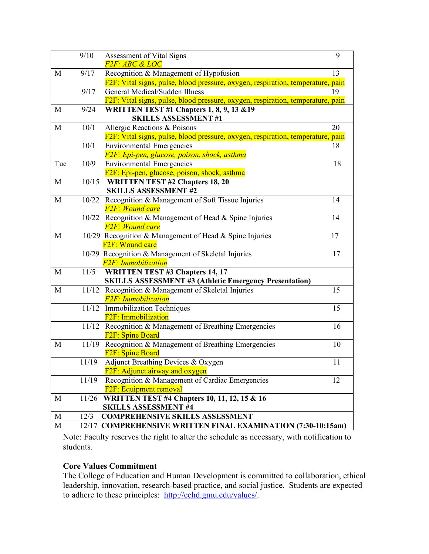|     | 9/10   | Assessment of Vital Signs                                                       | 9  |
|-----|--------|---------------------------------------------------------------------------------|----|
|     |        | <i>F2F: ABC &amp; LOC</i>                                                       |    |
| M   | 9/17   | Recognition & Management of Hypofusion                                          | 13 |
|     |        | F2F: Vital signs, pulse, blood pressure, oxygen, respiration, temperature, pain |    |
|     | 9/17   | General Medical/Sudden Illness                                                  | 19 |
|     |        | F2F: Vital signs, pulse, blood pressure, oxygen, respiration, temperature, pain |    |
| M   | 9/24   | <b>WRITTEN TEST #1 Chapters 1, 8, 9, 13 &amp; 19</b>                            |    |
|     |        | <b>SKILLS ASSESSMENT#1</b>                                                      |    |
| M   | 10/1   | Allergic Reactions & Poisons                                                    | 20 |
|     |        | F2F: Vital signs, pulse, blood pressure, oxygen, respiration, temperature, pain |    |
|     | 10/1   | <b>Environmental Emergencies</b>                                                | 18 |
|     |        | F2F: Epi-pen, glucose, poison, shock, asthma                                    |    |
| Tue | 10/9   | <b>Environmental Emergencies</b>                                                | 18 |
|     |        | F2F: Epi-pen, glucose, poison, shock, asthma                                    |    |
| M   | 10/15  | <b>WRITTEN TEST #2 Chapters 18, 20</b>                                          |    |
|     |        | <b>SKILLS ASSESSMENT #2</b>                                                     |    |
| M   |        | 10/22 Recognition & Management of Soft Tissue Injuries                          | 14 |
|     |        | <b>F2F: Wound care</b>                                                          |    |
|     |        | 10/22 Recognition & Management of Head & Spine Injuries                         | 14 |
|     |        | <b>F2F: Wound care</b>                                                          |    |
| M   |        | 10/29 Recognition & Management of Head & Spine Injuries                         | 17 |
|     |        | F <sub>2F</sub> : Wound care                                                    |    |
|     |        | 10/29 Recognition & Management of Skeletal Injuries                             | 17 |
|     |        | <b>F2F: Immobilization</b>                                                      |    |
| M   | $11/5$ | <b>WRITTEN TEST #3 Chapters 14, 17</b>                                          |    |
|     |        | <b>SKILLS ASSESSMENT #3 (Athletic Emergency Presentation)</b>                   |    |
| M   |        | 11/12 Recognition & Management of Skeletal Injuries                             | 15 |
|     |        | <b>F2F: Immobilization</b>                                                      |    |
|     |        | 11/12 Immobilization Techniques                                                 | 15 |
|     |        | F <sub>2F</sub> : Immobilization                                                |    |
|     |        | 11/12 Recognition & Management of Breathing Emergencies                         | 16 |
|     |        | F <sub>2F</sub> : Spine Board                                                   |    |
| M   |        | 11/19 Recognition & Management of Breathing Emergencies                         | 10 |
|     |        | F <sub>2F</sub> : Spine Board                                                   |    |
|     | 11/19  | Adjunct Breathing Devices & Oxygen                                              | 11 |
|     |        | F2F: Adjunct airway and oxygen                                                  |    |
|     | 11/19  | Recognition & Management of Cardiac Emergencies                                 | 12 |
|     |        |                                                                                 |    |
|     |        | F <sub>2F</sub> : Equipment removal                                             |    |
| M   |        | 11/26 WRITTEN TEST #4 Chapters 10, 11, 12, 15 & 16                              |    |
|     |        | <b>SKILLS ASSESSMENT #4</b>                                                     |    |
| M   | 12/3   | <b>COMPREHENSIVE SKILLS ASSESSMENT</b>                                          |    |
| M   | 12/17  | <b>COMPREHENSIVE WRITTEN FINAL EXAMINATION (7:30-10:15am)</b>                   |    |

Note: Faculty reserves the right to alter the schedule as necessary, with notification to students.

# **Core Values Commitment**

The College of Education and Human Development is committed to collaboration, ethical leadership, innovation, research-based practice, and social justice. Students are expected to adhere to these principles: http://cehd.gmu.edu/values/.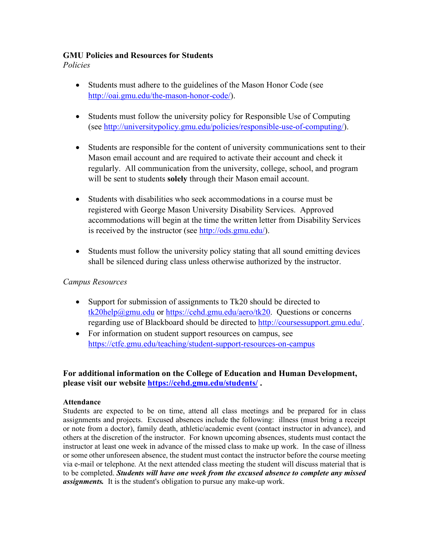## **GMU Policies and Resources for Students**

*Policies*

- Students must adhere to the guidelines of the Mason Honor Code (see http://oai.gmu.edu/the-mason-honor-code/).
- Students must follow the university policy for Responsible Use of Computing (see http://universitypolicy.gmu.edu/policies/responsible-use-of-computing/).
- Students are responsible for the content of university communications sent to their Mason email account and are required to activate their account and check it regularly. All communication from the university, college, school, and program will be sent to students **solely** through their Mason email account.
- Students with disabilities who seek accommodations in a course must be registered with George Mason University Disability Services. Approved accommodations will begin at the time the written letter from Disability Services is received by the instructor (see http://ods.gmu.edu/).
- Students must follow the university policy stating that all sound emitting devices shall be silenced during class unless otherwise authorized by the instructor.

# *Campus Resources*

- Support for submission of assignments to Tk20 should be directed to tk20help@gmu.edu or https://cehd.gmu.edu/aero/tk20. Questions or concerns regarding use of Blackboard should be directed to http://coursessupport.gmu.edu/.
- For information on student support resources on campus, see https://ctfe.gmu.edu/teaching/student-support-resources-on-campus

# **For additional information on the College of Education and Human Development, please visit our website https://cehd.gmu.edu/students/ .**

# **Attendance**

Students are expected to be on time, attend all class meetings and be prepared for in class assignments and projects. Excused absences include the following: illness (must bring a receipt or note from a doctor), family death, athletic/academic event (contact instructor in advance), and others at the discretion of the instructor. For known upcoming absences, students must contact the instructor at least one week in advance of the missed class to make up work. In the case of illness or some other unforeseen absence, the student must contact the instructor before the course meeting via e-mail or telephone. At the next attended class meeting the student will discuss material that is to be completed. *Students will have one week from the excused absence to complete any missed assignments.* It is the student's obligation to pursue any make-up work.